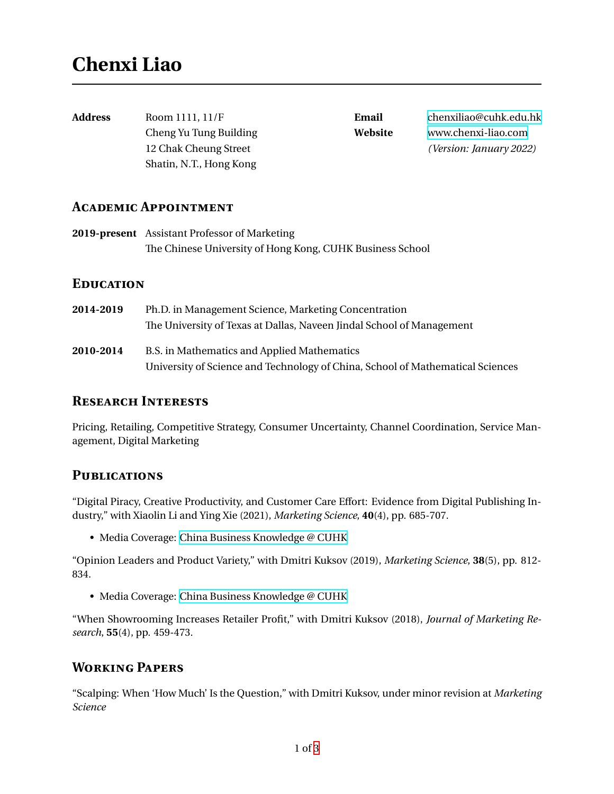| Address | Room 1111, 11/F         | Email   | chenxiliao@cuhk.edu.hk  |
|---------|-------------------------|---------|-------------------------|
|         | Cheng Yu Tung Building  | Website | www.chenxi-liao.com     |
|         | 12 Chak Cheung Street   |         | (Version: January 2022) |
|         | Shatin, N.T., Hong Kong |         |                         |
|         |                         |         |                         |

### **Academic Appointment**

**2019-present** Assistant Professor of Marketing The Chinese University of Hong Kong, CUHK Business School

## **Education**

**2014-2019** Ph.D. in Management Science, Marketing Concentration The University of Texas at Dallas, Naveen Jindal School of Management **2010-2014** B.S. in Mathematics and Applied Mathematics University of Science and Technology of China, School of Mathematical Sciences

# **Research Interests**

Pricing, Retailing, Competitive Strategy, Consumer Uncertainty, Channel Coordination, Service Management, Digital Marketing

## **Publications**

"Digital Piracy, Creative Productivity, and Customer Care Effort: Evidence from Digital Publishing Industry," with Xiaolin Li and Ying Xie (2021), *Marketing Science*, **40**(4), pp. 685-707.

• Media Coverage: [China Business Knowledge @ CUHK](https://cbk.bschool.cuhk.edu.hk/combating-digital-piracy-in-china-and-its-unintended-side-effects/)

"Opinion Leaders and Product Variety," with Dmitri Kuksov (2019), *Marketing Science*, **38**(5), pp. 812- 834.

• Media Coverage: [China Business Knowledge @ CUHK](https://cbk.bschool.cuhk.edu.hk/tailoring-product-variety-for-the-internet-generation/)

"When Showrooming Increases Retailer Profit," with Dmitri Kuksov (2018), *Journal of Marketing Research*, **55**(4), pp. 459-473.

## **Working Papers**

"Scalping: When 'How Much' Is the Question," with Dmitri Kuksov, under minor revision at *Marketing Science*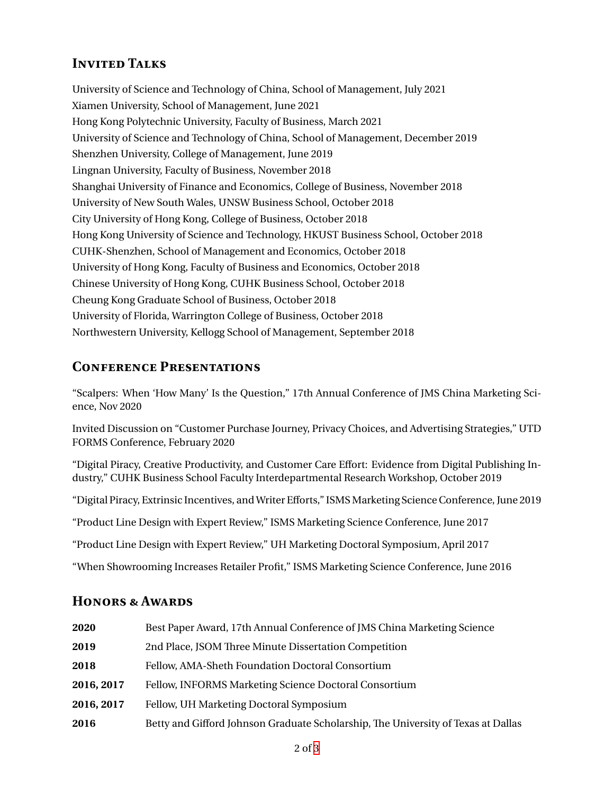# **INVITED TALKS**

University of Science and Technology of China, School of Management, July 2021 Xiamen University, School of Management, June 2021 Hong Kong Polytechnic University, Faculty of Business, March 2021 University of Science and Technology of China, School of Management, December 2019 Shenzhen University, College of Management, June 2019 Lingnan University, Faculty of Business, November 2018 Shanghai University of Finance and Economics, College of Business, November 2018 University of New South Wales, UNSW Business School, October 2018 City University of Hong Kong, College of Business, October 2018 Hong Kong University of Science and Technology, HKUST Business School, October 2018 CUHK-Shenzhen, School of Management and Economics, October 2018 University of Hong Kong, Faculty of Business and Economics, October 2018 Chinese University of Hong Kong, CUHK Business School, October 2018 Cheung Kong Graduate School of Business, October 2018 University of Florida, Warrington College of Business, October 2018 Northwestern University, Kellogg School of Management, September 2018

# **Conference Presentations**

"Scalpers: When 'How Many' Is the Question," 17th Annual Conference of JMS China Marketing Science, Nov 2020

Invited Discussion on "Customer Purchase Journey, Privacy Choices, and Advertising Strategies," UTD FORMS Conference, February 2020

"Digital Piracy, Creative Productivity, and Customer Care Effort: Evidence from Digital Publishing Industry," CUHK Business School Faculty Interdepartmental Research Workshop, October 2019

"Digital Piracy, Extrinsic Incentives, and Writer Efforts," ISMS Marketing Science Conference, June 2019

"Product Line Design with Expert Review," ISMS Marketing Science Conference, June 2017

"Product Line Design with Expert Review," UH Marketing Doctoral Symposium, April 2017

"When Showrooming Increases Retailer Profit," ISMS Marketing Science Conference, June 2016

### **Honors & Awards**

| 2020       | Best Paper Award, 17th Annual Conference of JMS China Marketing Science           |  |
|------------|-----------------------------------------------------------------------------------|--|
| 2019       | 2nd Place, JSOM Three Minute Dissertation Competition                             |  |
| 2018       | Fellow, AMA-Sheth Foundation Doctoral Consortium                                  |  |
| 2016, 2017 | Fellow, INFORMS Marketing Science Doctoral Consortium                             |  |
| 2016, 2017 | Fellow, UH Marketing Doctoral Symposium                                           |  |
| 2016       | Betty and Gifford Johnson Graduate Scholarship, The University of Texas at Dallas |  |